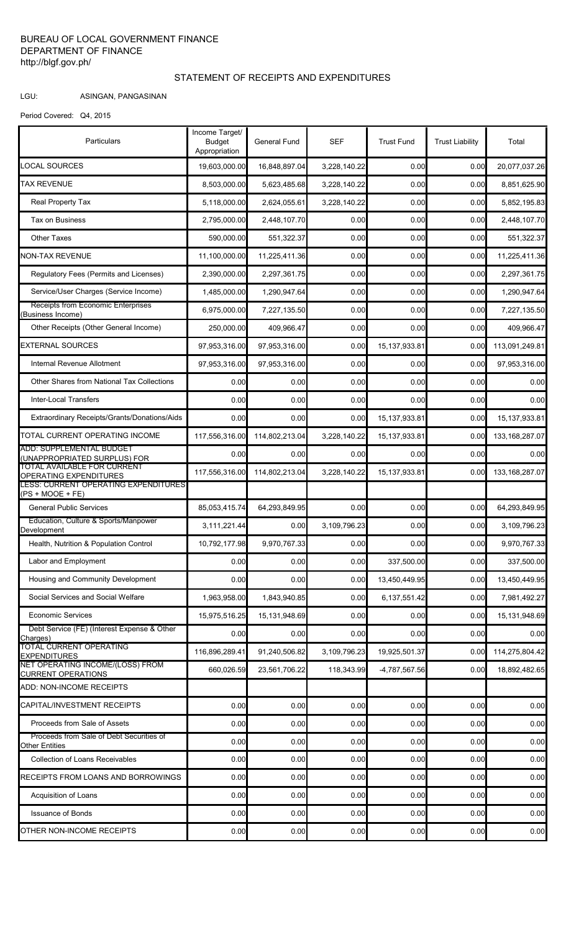## BUREAU OF LOCAL GOVERNMENT FINANCE DEPARTMENT OF FINANCE http://blgf.gov.ph/

## STATEMENT OF RECEIPTS AND EXPENDITURES

## LGU: ASINGAN, PANGASINAN

Period Covered: Q4, 2015

| Particulars                                                       | Income Target/<br><b>Budget</b><br>Appropriation | General Fund   | SEF          | <b>Trust Fund</b> | <b>Trust Liability</b> | Total            |
|-------------------------------------------------------------------|--------------------------------------------------|----------------|--------------|-------------------|------------------------|------------------|
| <b>LOCAL SOURCES</b>                                              | 19,603,000.00                                    | 16,848,897.04  | 3,228,140.22 | 0.00              | 0.00                   | 20,077,037.26    |
| TAX REVENUE                                                       | 8,503,000.00                                     | 5,623,485.68   | 3,228,140.22 | 0.00              | 0.00                   | 8,851,625.90     |
| Real Property Tax                                                 | 5,118,000.00                                     | 2,624,055.61   | 3,228,140.22 | 0.00              | 0.00                   | 5,852,195.83     |
| Tax on Business                                                   | 2,795,000.00                                     | 2,448,107.70   | 0.00         | 0.00              | 0.00                   | 2,448,107.70     |
| <b>Other Taxes</b>                                                | 590,000.00                                       | 551,322.37     | 0.00         | 0.00              | 0.00                   | 551,322.37       |
| NON-TAX REVENUE                                                   | 11,100,000.00                                    | 11,225,411.36  | 0.00         | 0.00              | 0.00                   | 11,225,411.36    |
| Regulatory Fees (Permits and Licenses)                            | 2,390,000.00                                     | 2,297,361.75   | 0.00         | 0.00              | 0.00                   | 2,297,361.75     |
| Service/User Charges (Service Income)                             | 1,485,000.00                                     | 1,290,947.64   | 0.00         | 0.00              | 0.00                   | 1,290,947.64     |
| Receipts from Economic Enterprises<br>(Business Income)           | 6,975,000.00                                     | 7,227,135.50   | 0.00         | 0.00              | 0.00                   | 7,227,135.50     |
| Other Receipts (Other General Income)                             | 250,000.00                                       | 409,966.47     | 0.00         | 0.00              | 0.00                   | 409,966.47       |
| <b>EXTERNAL SOURCES</b>                                           | 97,953,316.00                                    | 97,953,316.00  | 0.00         | 15, 137, 933.81   | 0.00                   | 113,091,249.81   |
| Internal Revenue Allotment                                        | 97,953,316.00                                    | 97,953,316.00  | 0.00         | 0.00              | 0.00                   | 97,953,316.00    |
| Other Shares from National Tax Collections                        | 0.00                                             | 0.00           | 0.00         | 0.00              | 0.00                   | 0.00             |
| <b>Inter-Local Transfers</b>                                      | 0.00                                             | 0.00           | 0.00         | 0.00              | 0.00                   | 0.00             |
| Extraordinary Receipts/Grants/Donations/Aids                      | 0.00                                             | 0.00           | 0.00         | 15, 137, 933.81   | 0.00                   | 15, 137, 933.81  |
| TOTAL CURRENT OPERATING INCOME                                    | 117,556,316.00                                   | 114,802,213.04 | 3,228,140.22 | 15, 137, 933.81   | 0.00                   | 133, 168, 287.07 |
| <b>ADD: SUPPLEMENTAL BUDGET</b><br>(UNAPPROPRIATED SURPLUS) FOR   | 0.00                                             | 0.00           | 0.00         | 0.00              | 0.00                   | 0.00             |
| TOTAL AVAILABLE FOR CURRENT<br>OPERATING EXPENDITURES             | 117,556,316.00                                   | 114,802,213.04 | 3,228,140.22 | 15, 137, 933.81   | 0.00                   | 133, 168, 287.07 |
| <b>LESS: CURRENT OPERATING EXPENDITURES</b><br>$(PS + MOOE + FE)$ |                                                  |                |              |                   |                        |                  |
| <b>General Public Services</b>                                    | 85,053,415.74                                    | 64,293,849.95  | 0.00         | 0.00              | 0.00                   | 64,293,849.95    |
| Education, Culture & Sports/Manpower<br>Development               | 3,111,221.44                                     | 0.00           | 3,109,796.23 | 0.00              | 0.00                   | 3,109,796.23     |
| Health, Nutrition & Population Control                            | 10,792,177.98                                    | 9,970,767.33   | 0.00         | 0.00              | 0.00                   | 9,970,767.33     |
| Labor and Employment                                              | 0.00                                             | 0.00           | 0.00         | 337,500.00        | 0.00                   | 337,500.00       |
| Housing and Community Development                                 | 0.00                                             | 0.00           | 0.00         | 13,450,449.95     | 0.00                   | 13,450,449.95    |
| Social Services and Social Welfare                                | 1,963,958.00                                     | 1,843,940.85   | 0.00         | 6,137,551.42      | 0.00                   | 7,981,492.27     |
| <b>Economic Services</b>                                          | 15,975,516.25                                    | 15,131,948.69  | 0.00         | 0.00              | 0.00                   | 15,131,948.69    |
| Debt Service (FE) (Interest Expense & Other<br>Charges)           | 0.00                                             | 0.00           | 0.00         | 0.00              | 0.00                   | 0.00             |
| <b>TOTAL CURRENT OPERATING</b><br><b>EXPENDITURES</b>             | 116,896,289.41                                   | 91,240,506.82  | 3,109,796.23 | 19,925,501.37     | 0.00                   | 114,275,804.42   |
| NET OPERATING INCOME/(LOSS) FROM<br><b>CURRENT OPERATIONS</b>     | 660,026.59                                       | 23,561,706.22  | 118,343.99   | -4,787,567.56     | 0.00                   | 18,892,482.65    |
| ADD: NON-INCOME RECEIPTS                                          |                                                  |                |              |                   |                        |                  |
| CAPITAL/INVESTMENT RECEIPTS                                       | 0.00                                             | 0.00           | 0.00         | 0.00              | 0.00                   | 0.00             |
| Proceeds from Sale of Assets                                      | 0.00                                             | 0.00           | 0.00         | 0.00              | 0.00                   | 0.00             |
| Proceeds from Sale of Debt Securities of<br><b>Other Entities</b> | 0.00                                             | 0.00           | 0.00         | 0.00              | 0.00                   | 0.00             |
| <b>Collection of Loans Receivables</b>                            | 0.00                                             | 0.00           | 0.00         | 0.00              | 0.00                   | 0.00             |
| RECEIPTS FROM LOANS AND BORROWINGS                                | 0.00                                             | 0.00           | 0.00         | 0.00              | 0.00                   | 0.00             |
| Acquisition of Loans                                              | 0.00                                             | 0.00           | 0.00         | 0.00              | 0.00                   | 0.00             |
| <b>Issuance of Bonds</b>                                          | 0.00                                             | 0.00           | 0.00         | 0.00              | 0.00                   | 0.00             |
| OTHER NON-INCOME RECEIPTS                                         | 0.00                                             | 0.00           | 0.00         | 0.00              | 0.00                   | 0.00             |